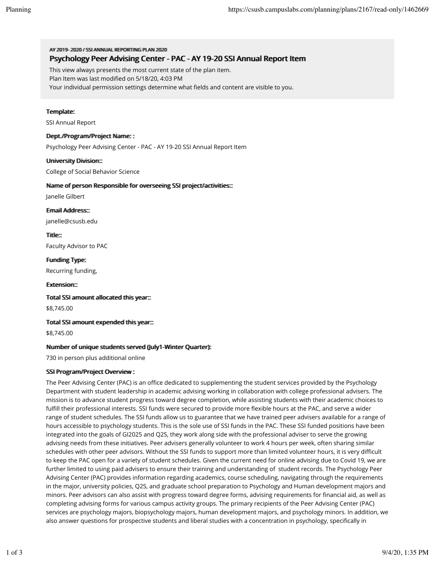AV 20119-2002 // SSIANNIHAI REPORTING PILAN 2020 Psychology Peer Advising Center - PAC - AY 19-20 SSI Annual Report Item

This view always presents the most current state of the plan item.

Plan Item was last modified on 5/18/20, 4:03 PM

Your individual permission settings determine what fields and content are visible to you.

# Termplate:

SSI Annual Report

## Dept.//Program//Project Name: :

Psychology Peer Advising Center - PAC - AY 19-20 SSI Annual Report Item

# Uniiversiity Divisiion::

College of Social Behavior Science

# Name of person Responsible for overseeing SSI project/activities:::

Janelle Gilbert

Ermaiil Address::

janelle@csusb.edu

Tiitlle::

Faculty Advisor to PAC

Fuundiing Type: Recurring funding,

**Extension:::** 

Totall SSI armount alllocated thiis year:::

\$8,745.00

Totall SSI armount expended thiis year:::

\$8,745.00

## Nummber of umique students served (Jully1-Winter Quarter):

730 in person plus additional online

### SSII Program/Project Overview :

The Peer Advising Center (PAC) is an office dedicated to supplementing the student services provided by the Psychology Department with student leadership in academic advising working in collaboration with college professional advisers. The mission is to advance student progress toward degree completion, while assisting students with their academic choices to fulfill their professional interests. SSI funds were secured to provide more flexible hours at the PAC, and serve a wider range of student schedules. The SSI funds allow us to guarantee that we have trained peer advisers available for a range of hours accessible to psychology students. This is the sole use of SSI funds in the PAC. These SSI funded positions have been integrated into the goals of GI2025 and Q2S, they work along side with the professional adviser to serve the growing advising needs from these initiatives. Peer advisers generally volunteer to work 4 hours per week, often sharing similar schedules with other peer advisors. Without the SSI funds to support more than limited volunteer hours, it is very difficult to keep the PAC open for a variety of student schedules. Given the current need for online advising due to Covid 19, we are further limited to using paid advisers to ensure their training and understanding of student records. The Psychology Peer Advising Center (PAC) provides information regarding academics, course scheduling, navigating through the requirements in the major, university policies, Q2S, and graduate school preparation to Psychology and Human development majors and minors. Peer advisors can also assist with progress toward degree forms, advising requirements for financial aid, as well as completing advising forms for various campus activity groups. The primary recipients of the Peer Advising Center (PAC) services are psychology majors, biopsychology majors, human development majors, and psychology minors. In addition, we also answer questions for prospective students and liberal studies with a concentration in psychology, specifically in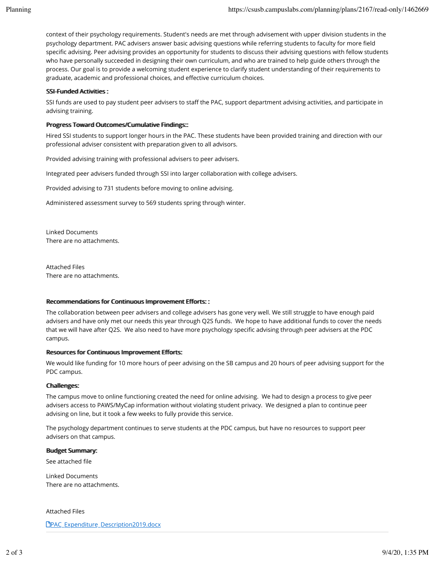context of their psychology requirements. Student's needs are met through advisement with upper division students in the psychology department. PAC advisers answer basic advising questions while referring students to faculty for more field specific advising. Peer advising provides an opportunity for students to discuss their advising questions with fellow students who have personally succeeded in designing their own curriculum, and who are trained to help guide others through the process. Our goal is to provide a welcoming student experience to clarify student understanding of their requirements to graduate, academic and professional choices, and effective curriculum choices.

# SSI-Fuunded Actiiviities:

SSI funds are used to pay student peer advisers to staff the PAC, support department advising activities, and participate in advising training.

# Progress Toward Outtcomes//Cummullattive Findlings:::

Hired SSI students to support longer hours in the PAC. These students have been provided training and direction with our professional adviser consistent with preparation given to all advisors.

Provided advising training with professional advisers to peer advisers.

Integrated peer advisers funded through SSI into larger collaboration with college advisers.

Provided advising to 731 students before moving to online advising.

Administered assessment survey to 569 students spring through winter.

Linked Documents There are no attachments.

Attached Files There are no attachments.

### Recommendations for Continuous Improvement Efforts::

The collaboration between peer advisers and college advisers has gone very well. We still struggle to have enough paid advisers and have only met our needs this year through Q2S funds. We hope to have additional funds to cover the needs that we will have after Q2S. We also need to have more psychology specific advising through peer advisers at the PDC campus.

### Resources for Contiinuous Improverment Efforts:

We would like funding for 10 more hours of peer advising on the SB campus and 20 hours of peer advising support for the PDC campus.

### Challlenges:

The campus move to online functioning created the need for online advising. We had to design a process to give peer advisers access to PAWS/MyCap information without violating student privacy. We designed a plan to continue peer advising on line, but it took a few weeks to fully provide this service.

The psychology department continues to serve students at the PDC campus, but have no resources to support peer advisers on that campus.

#### Budget Summmary:

See attached file

Linked Documents There are no attachments.

Attached Files

**PPAC** Expenditure Description2019.docx